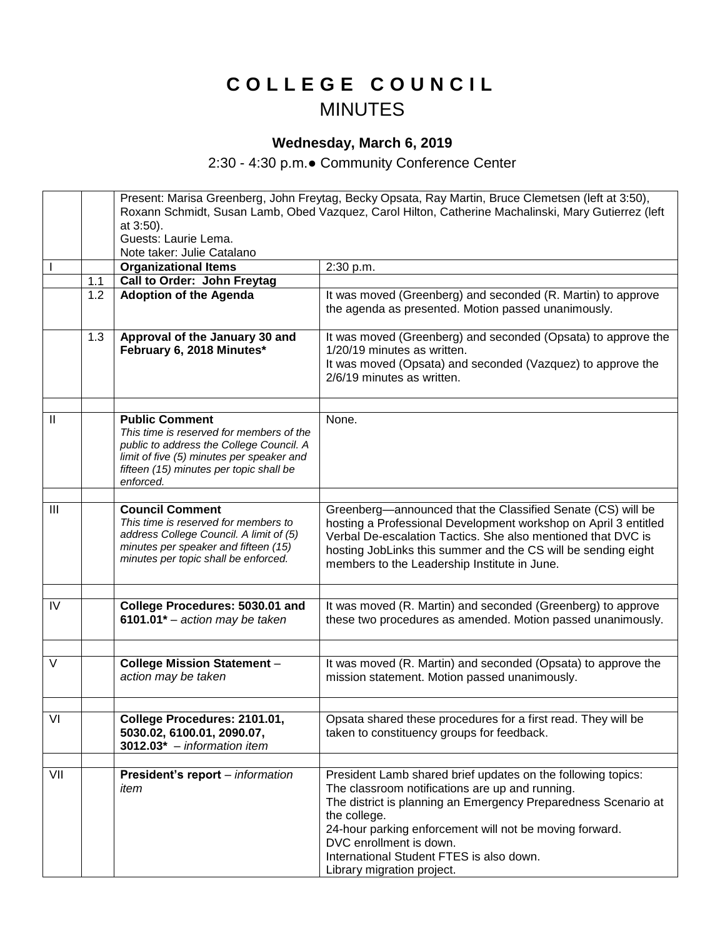## **C O L L E G E C O U N C I L** MINUTES

## **Wednesday, March 6, 2019**

2:30 - 4:30 p.m.● Community Conference Center

|                |     | Present: Marisa Greenberg, John Freytag, Becky Opsata, Ray Martin, Bruce Clemetsen (left at 3:50),<br>Roxann Schmidt, Susan Lamb, Obed Vazquez, Carol Hilton, Catherine Machalinski, Mary Gutierrez (left          |                                                                                                                                                                                                                                                                                                                 |
|----------------|-----|--------------------------------------------------------------------------------------------------------------------------------------------------------------------------------------------------------------------|-----------------------------------------------------------------------------------------------------------------------------------------------------------------------------------------------------------------------------------------------------------------------------------------------------------------|
|                |     | at 3:50).                                                                                                                                                                                                          |                                                                                                                                                                                                                                                                                                                 |
|                |     | Guests: Laurie Lema.                                                                                                                                                                                               |                                                                                                                                                                                                                                                                                                                 |
|                |     | Note taker: Julie Catalano                                                                                                                                                                                         |                                                                                                                                                                                                                                                                                                                 |
|                | 1.1 | <b>Organizational Items</b><br>Call to Order: John Freytag                                                                                                                                                         | 2:30 p.m.                                                                                                                                                                                                                                                                                                       |
|                | 1.2 | <b>Adoption of the Agenda</b>                                                                                                                                                                                      | It was moved (Greenberg) and seconded (R. Martin) to approve                                                                                                                                                                                                                                                    |
|                |     |                                                                                                                                                                                                                    | the agenda as presented. Motion passed unanimously.                                                                                                                                                                                                                                                             |
|                | 1.3 | Approval of the January 30 and<br>February 6, 2018 Minutes*                                                                                                                                                        | It was moved (Greenberg) and seconded (Opsata) to approve the<br>1/20/19 minutes as written.<br>It was moved (Opsata) and seconded (Vazquez) to approve the<br>2/6/19 minutes as written.                                                                                                                       |
| $\mathbf{II}$  |     | <b>Public Comment</b><br>This time is reserved for members of the<br>public to address the College Council. A<br>limit of five (5) minutes per speaker and<br>fifteen (15) minutes per topic shall be<br>enforced. | None.                                                                                                                                                                                                                                                                                                           |
| $\mathbf{III}$ |     | <b>Council Comment</b><br>This time is reserved for members to<br>address College Council. A limit of (5)<br>minutes per speaker and fifteen (15)<br>minutes per topic shall be enforced.                          | Greenberg-announced that the Classified Senate (CS) will be<br>hosting a Professional Development workshop on April 3 entitled<br>Verbal De-escalation Tactics. She also mentioned that DVC is<br>hosting JobLinks this summer and the CS will be sending eight<br>members to the Leadership Institute in June. |
|                |     |                                                                                                                                                                                                                    |                                                                                                                                                                                                                                                                                                                 |
| IV             |     | College Procedures: 5030.01 and<br>6101.01 $*$ – action may be taken                                                                                                                                               | It was moved (R. Martin) and seconded (Greenberg) to approve<br>these two procedures as amended. Motion passed unanimously.                                                                                                                                                                                     |
| V              |     | <b>College Mission Statement -</b>                                                                                                                                                                                 | It was moved (R. Martin) and seconded (Opsata) to approve the                                                                                                                                                                                                                                                   |
|                |     | action may be taken                                                                                                                                                                                                | mission statement. Motion passed unanimously.                                                                                                                                                                                                                                                                   |
|                |     |                                                                                                                                                                                                                    |                                                                                                                                                                                                                                                                                                                 |
| VI             |     | College Procedures: 2101.01,<br>5030.02, 6100.01, 2090.07,<br>$3012.03* - information item$                                                                                                                        | Opsata shared these procedures for a first read. They will be<br>taken to constituency groups for feedback.                                                                                                                                                                                                     |
| VII            |     |                                                                                                                                                                                                                    | President Lamb shared brief updates on the following topics:                                                                                                                                                                                                                                                    |
|                |     | President's report - information<br>item                                                                                                                                                                           | The classroom notifications are up and running.<br>The district is planning an Emergency Preparedness Scenario at<br>the college.<br>24-hour parking enforcement will not be moving forward.<br>DVC enrollment is down.<br>International Student FTES is also down.<br>Library migration project.               |